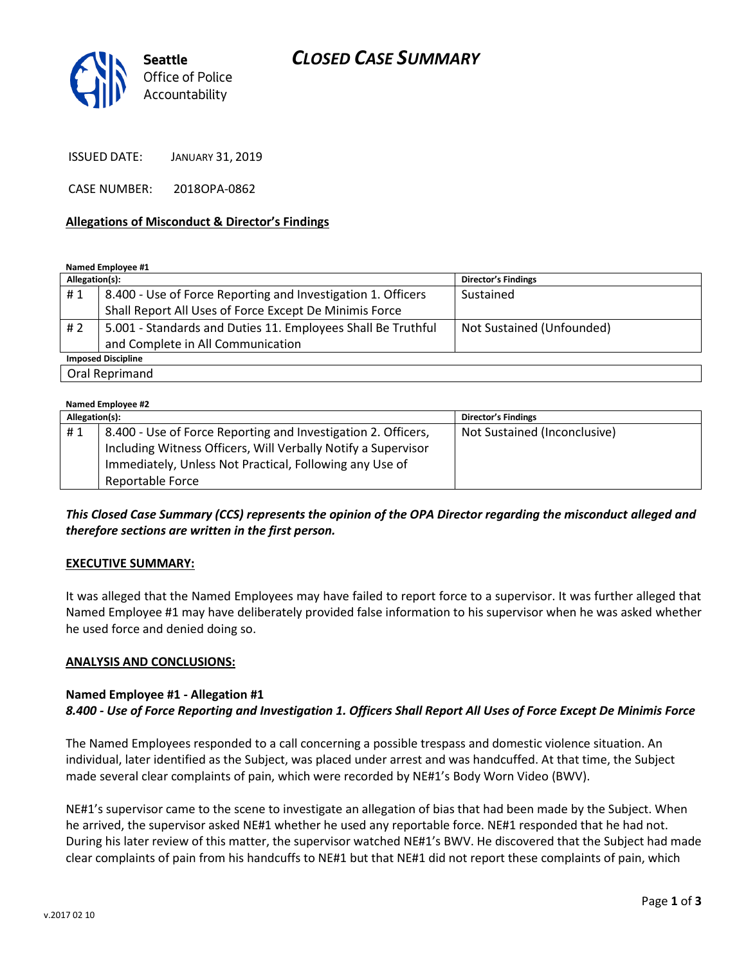# *CLOSED CASE SUMMARY*



ISSUED DATE: JANUARY 31, 2019

CASE NUMBER: 2018OPA-0862

#### **Allegations of Misconduct & Director's Findings**

**Named Employee #1**

| Allegation(s):            |                                                              | Director's Findings       |
|---------------------------|--------------------------------------------------------------|---------------------------|
| #1                        | 8.400 - Use of Force Reporting and Investigation 1. Officers | Sustained                 |
|                           | Shall Report All Uses of Force Except De Minimis Force       |                           |
| # 2                       | 5.001 - Standards and Duties 11. Employees Shall Be Truthful | Not Sustained (Unfounded) |
|                           | and Complete in All Communication                            |                           |
| <b>Imposed Discipline</b> |                                                              |                           |
| Oral Reprimand            |                                                              |                           |

#### **Named Employee #2 Allegation(s): Director's Findings** # 1 | 8.400 - Use of Force Reporting and Investigation 2. Officers, Including Witness Officers, Will Verbally Notify a Supervisor Immediately, Unless Not Practical, Following any Use of Reportable Force Not Sustained (Inconclusive)

### *This Closed Case Summary (CCS) represents the opinion of the OPA Director regarding the misconduct alleged and therefore sections are written in the first person.*

#### **EXECUTIVE SUMMARY:**

It was alleged that the Named Employees may have failed to report force to a supervisor. It was further alleged that Named Employee #1 may have deliberately provided false information to his supervisor when he was asked whether he used force and denied doing so.

### **ANALYSIS AND CONCLUSIONS:**

### **Named Employee #1 - Allegation #1** *8.400 - Use of Force Reporting and Investigation 1. Officers Shall Report All Uses of Force Except De Minimis Force*

The Named Employees responded to a call concerning a possible trespass and domestic violence situation. An individual, later identified as the Subject, was placed under arrest and was handcuffed. At that time, the Subject made several clear complaints of pain, which were recorded by NE#1's Body Worn Video (BWV).

NE#1's supervisor came to the scene to investigate an allegation of bias that had been made by the Subject. When he arrived, the supervisor asked NE#1 whether he used any reportable force. NE#1 responded that he had not. During his later review of this matter, the supervisor watched NE#1's BWV. He discovered that the Subject had made clear complaints of pain from his handcuffs to NE#1 but that NE#1 did not report these complaints of pain, which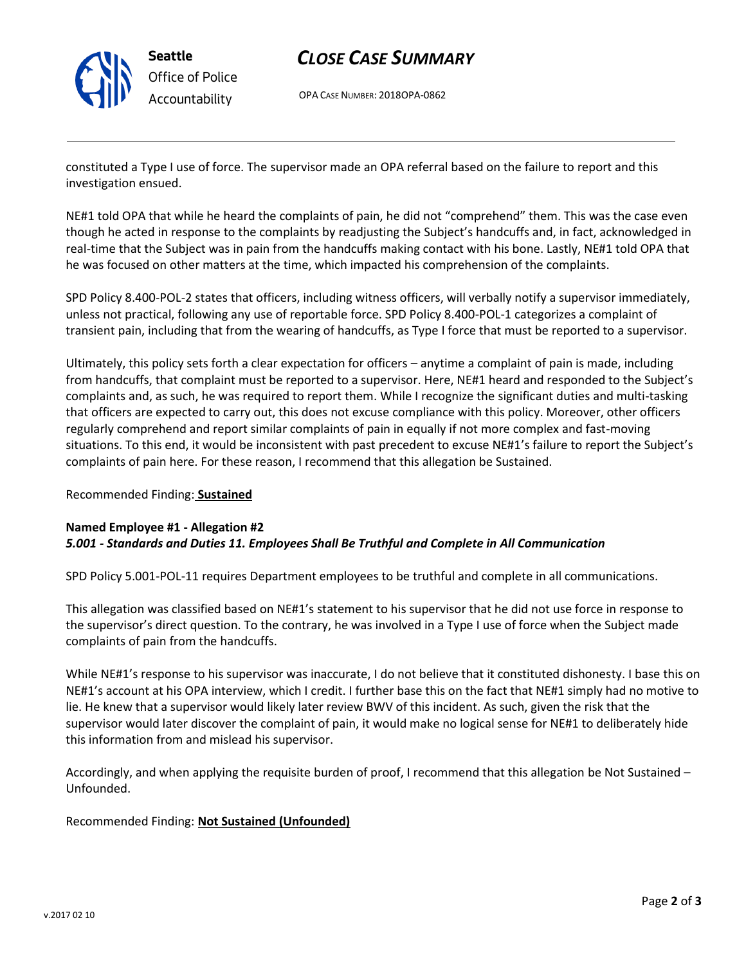

# *CLOSE CASE SUMMARY*

OPA CASE NUMBER: 2018OPA-0862

constituted a Type I use of force. The supervisor made an OPA referral based on the failure to report and this investigation ensued.

NE#1 told OPA that while he heard the complaints of pain, he did not "comprehend" them. This was the case even though he acted in response to the complaints by readjusting the Subject's handcuffs and, in fact, acknowledged in real-time that the Subject was in pain from the handcuffs making contact with his bone. Lastly, NE#1 told OPA that he was focused on other matters at the time, which impacted his comprehension of the complaints.

SPD Policy 8.400-POL-2 states that officers, including witness officers, will verbally notify a supervisor immediately, unless not practical, following any use of reportable force. SPD Policy 8.400-POL-1 categorizes a complaint of transient pain, including that from the wearing of handcuffs, as Type I force that must be reported to a supervisor.

Ultimately, this policy sets forth a clear expectation for officers – anytime a complaint of pain is made, including from handcuffs, that complaint must be reported to a supervisor. Here, NE#1 heard and responded to the Subject's complaints and, as such, he was required to report them. While I recognize the significant duties and multi-tasking that officers are expected to carry out, this does not excuse compliance with this policy. Moreover, other officers regularly comprehend and report similar complaints of pain in equally if not more complex and fast-moving situations. To this end, it would be inconsistent with past precedent to excuse NE#1's failure to report the Subject's complaints of pain here. For these reason, I recommend that this allegation be Sustained.

### Recommended Finding: **Sustained**

### **Named Employee #1 - Allegation #2** *5.001 - Standards and Duties 11. Employees Shall Be Truthful and Complete in All Communication*

SPD Policy 5.001-POL-11 requires Department employees to be truthful and complete in all communications.

This allegation was classified based on NE#1's statement to his supervisor that he did not use force in response to the supervisor's direct question. To the contrary, he was involved in a Type I use of force when the Subject made complaints of pain from the handcuffs.

While NE#1's response to his supervisor was inaccurate, I do not believe that it constituted dishonesty. I base this on NE#1's account at his OPA interview, which I credit. I further base this on the fact that NE#1 simply had no motive to lie. He knew that a supervisor would likely later review BWV of this incident. As such, given the risk that the supervisor would later discover the complaint of pain, it would make no logical sense for NE#1 to deliberately hide this information from and mislead his supervisor.

Accordingly, and when applying the requisite burden of proof, I recommend that this allegation be Not Sustained – Unfounded.

### Recommended Finding: **Not Sustained (Unfounded)**